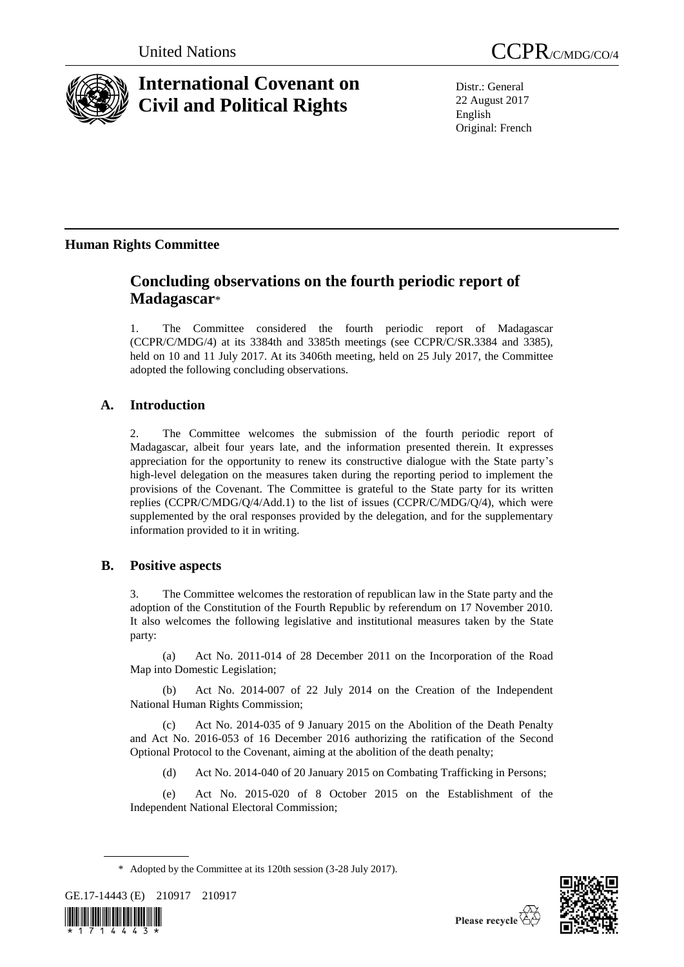

# **International Covenant on Civil and Political Rights**

United Nations CCPR C/MDG/CO/4

Distr.: General 22 August 2017 English Original: French

# **Human Rights Committee**

# **Concluding observations on the fourth periodic report of Madagascar**\*

1. The Committee considered the fourth periodic report of Madagascar (CCPR/C/MDG/4) at its 3384th and 3385th meetings (see CCPR/C/SR.3384 and 3385), held on 10 and 11 July 2017. At its 3406th meeting, held on 25 July 2017, the Committee adopted the following concluding observations.

## **A. Introduction**

2. The Committee welcomes the submission of the fourth periodic report of Madagascar, albeit four years late, and the information presented therein. It expresses appreciation for the opportunity to renew its constructive dialogue with the State party's high-level delegation on the measures taken during the reporting period to implement the provisions of the Covenant. The Committee is grateful to the State party for its written replies (CCPR/C/MDG/Q/4/Add.1) to the list of issues (CCPR/C/MDG/Q/4), which were supplemented by the oral responses provided by the delegation, and for the supplementary information provided to it in writing.

### **B. Positive aspects**

3. The Committee welcomes the restoration of republican law in the State party and the adoption of the Constitution of the Fourth Republic by referendum on 17 November 2010. It also welcomes the following legislative and institutional measures taken by the State party:

(a) Act No. 2011-014 of 28 December 2011 on the Incorporation of the Road Map into Domestic Legislation;

(b) Act No. 2014-007 of 22 July 2014 on the Creation of the Independent National Human Rights Commission;

(c) Act No. 2014-035 of 9 January 2015 on the Abolition of the Death Penalty and Act No. 2016-053 of 16 December 2016 authorizing the ratification of the Second Optional Protocol to the Covenant, aiming at the abolition of the death penalty;

(d) Act No. 2014-040 of 20 January 2015 on Combating Trafficking in Persons;

(e) Act No. 2015-020 of 8 October 2015 on the Establishment of the Independent National Electoral Commission;

<sup>\*</sup> Adopted by the Committee at its 120th session (3-28 July 2017).







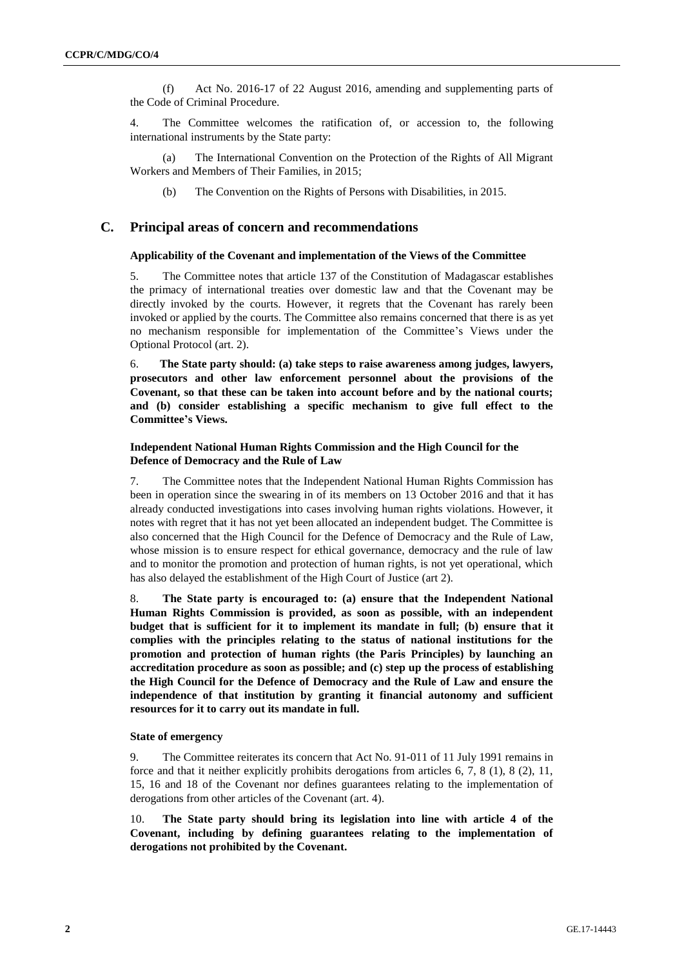(f) Act No. 2016-17 of 22 August 2016, amending and supplementing parts of the Code of Criminal Procedure.

4. The Committee welcomes the ratification of, or accession to, the following international instruments by the State party:

(a) The International Convention on the Protection of the Rights of All Migrant Workers and Members of Their Families, in 2015;

(b) The Convention on the Rights of Persons with Disabilities, in 2015.

#### **C. Principal areas of concern and recommendations**

#### **Applicability of the Covenant and implementation of the Views of the Committee**

5. The Committee notes that article 137 of the Constitution of Madagascar establishes the primacy of international treaties over domestic law and that the Covenant may be directly invoked by the courts. However, it regrets that the Covenant has rarely been invoked or applied by the courts. The Committee also remains concerned that there is as yet no mechanism responsible for implementation of the Committee's Views under the Optional Protocol (art. 2).

6. **The State party should: (a) take steps to raise awareness among judges, lawyers, prosecutors and other law enforcement personnel about the provisions of the Covenant, so that these can be taken into account before and by the national courts; and (b) consider establishing a specific mechanism to give full effect to the Committee's Views.**

#### **Independent National Human Rights Commission and the High Council for the Defence of Democracy and the Rule of Law**

7. The Committee notes that the Independent National Human Rights Commission has been in operation since the swearing in of its members on 13 October 2016 and that it has already conducted investigations into cases involving human rights violations. However, it notes with regret that it has not yet been allocated an independent budget. The Committee is also concerned that the High Council for the Defence of Democracy and the Rule of Law, whose mission is to ensure respect for ethical governance, democracy and the rule of law and to monitor the promotion and protection of human rights, is not yet operational, which has also delayed the establishment of the High Court of Justice (art 2).

8. **The State party is encouraged to: (a) ensure that the Independent National Human Rights Commission is provided, as soon as possible, with an independent budget that is sufficient for it to implement its mandate in full; (b) ensure that it complies with the principles relating to the status of national institutions for the promotion and protection of human rights (the Paris Principles) by launching an accreditation procedure as soon as possible; and (c) step up the process of establishing the High Council for the Defence of Democracy and the Rule of Law and ensure the independence of that institution by granting it financial autonomy and sufficient resources for it to carry out its mandate in full.**

#### **State of emergency**

9. The Committee reiterates its concern that Act No. 91-011 of 11 July 1991 remains in force and that it neither explicitly prohibits derogations from articles 6, 7, 8 (1), 8 (2), 11, 15, 16 and 18 of the Covenant nor defines guarantees relating to the implementation of derogations from other articles of the Covenant (art. 4).

10. **The State party should bring its legislation into line with article 4 of the Covenant, including by defining guarantees relating to the implementation of derogations not prohibited by the Covenant.**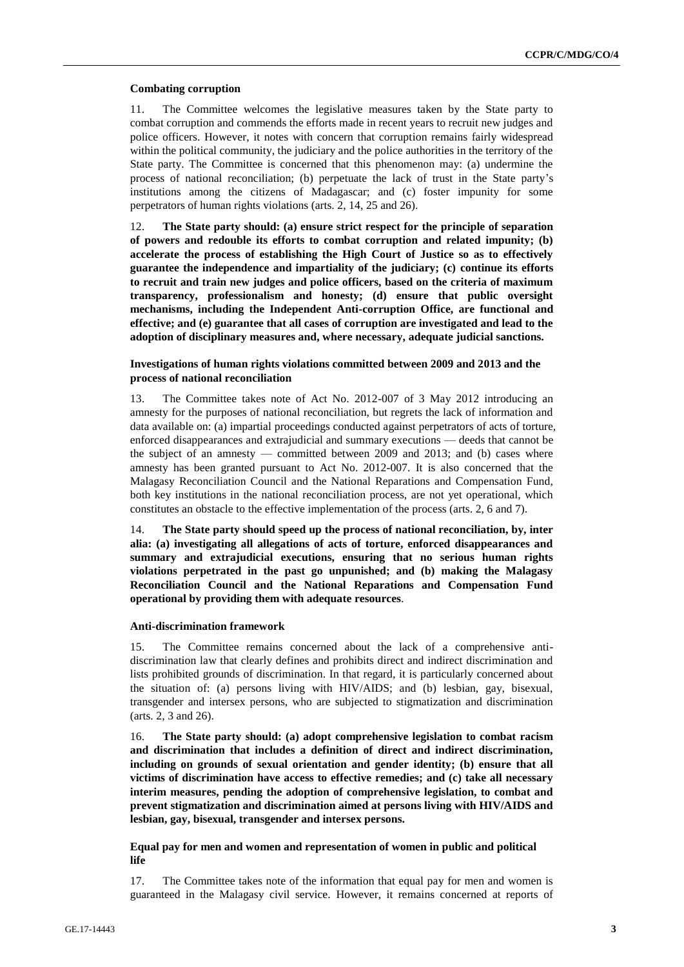#### **Combating corruption**

11. The Committee welcomes the legislative measures taken by the State party to combat corruption and commends the efforts made in recent years to recruit new judges and police officers. However, it notes with concern that corruption remains fairly widespread within the political community, the judiciary and the police authorities in the territory of the State party. The Committee is concerned that this phenomenon may: (a) undermine the process of national reconciliation; (b) perpetuate the lack of trust in the State party's institutions among the citizens of Madagascar; and (c) foster impunity for some perpetrators of human rights violations (arts. 2, 14, 25 and 26).

12. **The State party should: (a) ensure strict respect for the principle of separation of powers and redouble its efforts to combat corruption and related impunity; (b) accelerate the process of establishing the High Court of Justice so as to effectively guarantee the independence and impartiality of the judiciary; (c) continue its efforts to recruit and train new judges and police officers, based on the criteria of maximum transparency, professionalism and honesty; (d) ensure that public oversight mechanisms, including the Independent Anti-corruption Office, are functional and effective; and (e) guarantee that all cases of corruption are investigated and lead to the adoption of disciplinary measures and, where necessary, adequate judicial sanctions.**

#### **Investigations of human rights violations committed between 2009 and 2013 and the process of national reconciliation**

13. The Committee takes note of Act No. 2012-007 of 3 May 2012 introducing an amnesty for the purposes of national reconciliation, but regrets the lack of information and data available on: (a) impartial proceedings conducted against perpetrators of acts of torture, enforced disappearances and extrajudicial and summary executions — deeds that cannot be the subject of an amnesty — committed between 2009 and 2013; and (b) cases where amnesty has been granted pursuant to Act No. 2012-007. It is also concerned that the Malagasy Reconciliation Council and the National Reparations and Compensation Fund, both key institutions in the national reconciliation process, are not yet operational, which constitutes an obstacle to the effective implementation of the process (arts. 2, 6 and 7).

14. **The State party should speed up the process of national reconciliation, by, inter alia: (a) investigating all allegations of acts of torture, enforced disappearances and summary and extrajudicial executions, ensuring that no serious human rights violations perpetrated in the past go unpunished; and (b) making the Malagasy Reconciliation Council and the National Reparations and Compensation Fund operational by providing them with adequate resources**.

#### **Anti-discrimination framework**

15. The Committee remains concerned about the lack of a comprehensive antidiscrimination law that clearly defines and prohibits direct and indirect discrimination and lists prohibited grounds of discrimination. In that regard, it is particularly concerned about the situation of: (a) persons living with HIV/AIDS; and (b) lesbian, gay, bisexual, transgender and intersex persons, who are subjected to stigmatization and discrimination (arts. 2, 3 and 26).

16. **The State party should: (a) adopt comprehensive legislation to combat racism and discrimination that includes a definition of direct and indirect discrimination, including on grounds of sexual orientation and gender identity; (b) ensure that all victims of discrimination have access to effective remedies; and (c) take all necessary interim measures, pending the adoption of comprehensive legislation, to combat and prevent stigmatization and discrimination aimed at persons living with HIV/AIDS and lesbian, gay, bisexual, transgender and intersex persons.**

**Equal pay for men and women and representation of women in public and political life**

17. The Committee takes note of the information that equal pay for men and women is guaranteed in the Malagasy civil service. However, it remains concerned at reports of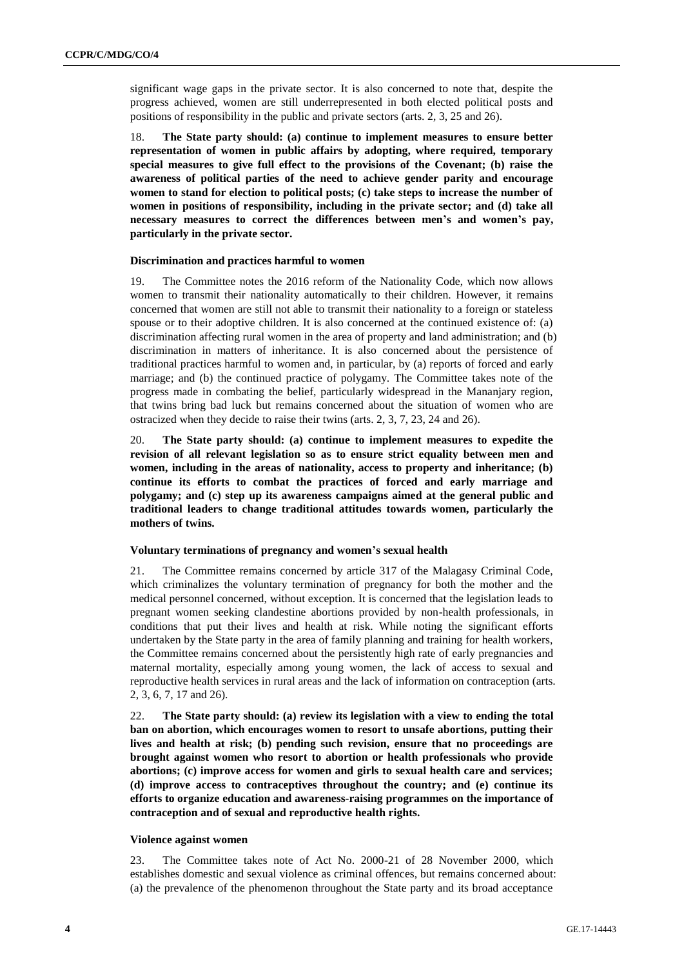significant wage gaps in the private sector. It is also concerned to note that, despite the progress achieved, women are still underrepresented in both elected political posts and positions of responsibility in the public and private sectors (arts. 2, 3, 25 and 26).

18. **The State party should: (a) continue to implement measures to ensure better representation of women in public affairs by adopting, where required, temporary special measures to give full effect to the provisions of the Covenant; (b) raise the awareness of political parties of the need to achieve gender parity and encourage women to stand for election to political posts; (c) take steps to increase the number of women in positions of responsibility, including in the private sector; and (d) take all necessary measures to correct the differences between men's and women's pay, particularly in the private sector.**

#### **Discrimination and practices harmful to women**

19. The Committee notes the 2016 reform of the Nationality Code, which now allows women to transmit their nationality automatically to their children. However, it remains concerned that women are still not able to transmit their nationality to a foreign or stateless spouse or to their adoptive children. It is also concerned at the continued existence of: (a) discrimination affecting rural women in the area of property and land administration; and (b) discrimination in matters of inheritance. It is also concerned about the persistence of traditional practices harmful to women and, in particular, by (a) reports of forced and early marriage; and (b) the continued practice of polygamy. The Committee takes note of the progress made in combating the belief, particularly widespread in the Mananjary region, that twins bring bad luck but remains concerned about the situation of women who are ostracized when they decide to raise their twins (arts. 2, 3, 7, 23, 24 and 26).

20. **The State party should: (a) continue to implement measures to expedite the revision of all relevant legislation so as to ensure strict equality between men and women, including in the areas of nationality, access to property and inheritance; (b) continue its efforts to combat the practices of forced and early marriage and polygamy; and (c) step up its awareness campaigns aimed at the general public and traditional leaders to change traditional attitudes towards women, particularly the mothers of twins.**

#### **Voluntary terminations of pregnancy and women's sexual health**

21. The Committee remains concerned by article 317 of the Malagasy Criminal Code, which criminalizes the voluntary termination of pregnancy for both the mother and the medical personnel concerned, without exception. It is concerned that the legislation leads to pregnant women seeking clandestine abortions provided by non-health professionals, in conditions that put their lives and health at risk. While noting the significant efforts undertaken by the State party in the area of family planning and training for health workers, the Committee remains concerned about the persistently high rate of early pregnancies and maternal mortality, especially among young women, the lack of access to sexual and reproductive health services in rural areas and the lack of information on contraception (arts. 2, 3, 6, 7, 17 and 26).

22. **The State party should: (a) review its legislation with a view to ending the total ban on abortion, which encourages women to resort to unsafe abortions, putting their lives and health at risk; (b) pending such revision, ensure that no proceedings are brought against women who resort to abortion or health professionals who provide abortions; (c) improve access for women and girls to sexual health care and services; (d) improve access to contraceptives throughout the country; and (e) continue its efforts to organize education and awareness-raising programmes on the importance of contraception and of sexual and reproductive health rights.**

#### **Violence against women**

23. The Committee takes note of Act No. 2000-21 of 28 November 2000, which establishes domestic and sexual violence as criminal offences, but remains concerned about: (a) the prevalence of the phenomenon throughout the State party and its broad acceptance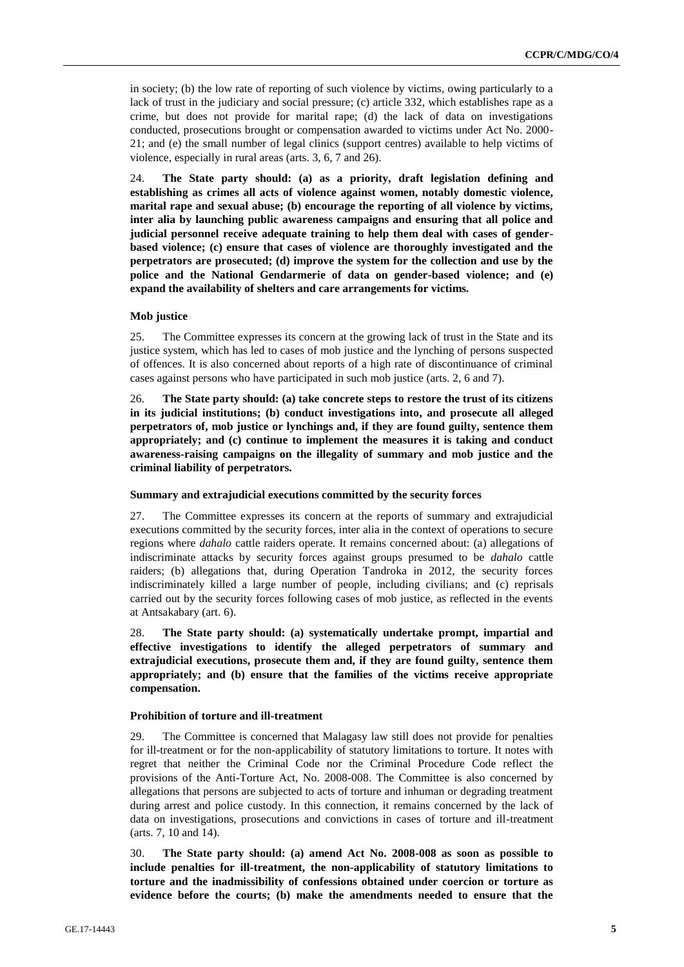in society; (b) the low rate of reporting of such violence by victims, owing particularly to a lack of trust in the judiciary and social pressure; (c) article 332, which establishes rape as a crime, but does not provide for marital rape; (d) the lack of data on investigations conducted, prosecutions brought or compensation awarded to victims under Act No. 2000- 21; and (e) the small number of legal clinics (support centres) available to help victims of violence, especially in rural areas (arts. 3, 6, 7 and 26).

24. **The State party should: (a) as a priority, draft legislation defining and establishing as crimes all acts of violence against women, notably domestic violence, marital rape and sexual abuse; (b) encourage the reporting of all violence by victims, inter alia by launching public awareness campaigns and ensuring that all police and judicial personnel receive adequate training to help them deal with cases of genderbased violence; (c) ensure that cases of violence are thoroughly investigated and the perpetrators are prosecuted; (d) improve the system for the collection and use by the police and the National Gendarmerie of data on gender-based violence; and (e) expand the availability of shelters and care arrangements for victims.**

#### **Mob justice**

25. The Committee expresses its concern at the growing lack of trust in the State and its justice system, which has led to cases of mob justice and the lynching of persons suspected of offences. It is also concerned about reports of a high rate of discontinuance of criminal cases against persons who have participated in such mob justice (arts. 2, 6 and 7).

26. **The State party should: (a) take concrete steps to restore the trust of its citizens in its judicial institutions; (b) conduct investigations into, and prosecute all alleged perpetrators of, mob justice or lynchings and, if they are found guilty, sentence them appropriately; and (c) continue to implement the measures it is taking and conduct awareness-raising campaigns on the illegality of summary and mob justice and the criminal liability of perpetrators.**

#### **Summary and extrajudicial executions committed by the security forces**

27. The Committee expresses its concern at the reports of summary and extrajudicial executions committed by the security forces, inter alia in the context of operations to secure regions where *dahalo* cattle raiders operate. It remains concerned about: (a) allegations of indiscriminate attacks by security forces against groups presumed to be *dahalo* cattle raiders; (b) allegations that, during Operation Tandroka in 2012, the security forces indiscriminately killed a large number of people, including civilians; and (c) reprisals carried out by the security forces following cases of mob justice, as reflected in the events at Antsakabary (art. 6).

28. **The State party should: (a) systematically undertake prompt, impartial and effective investigations to identify the alleged perpetrators of summary and extrajudicial executions, prosecute them and, if they are found guilty, sentence them appropriately; and (b) ensure that the families of the victims receive appropriate compensation.**

#### **Prohibition of torture and ill-treatment**

29. The Committee is concerned that Malagasy law still does not provide for penalties for ill-treatment or for the non-applicability of statutory limitations to torture. It notes with regret that neither the Criminal Code nor the Criminal Procedure Code reflect the provisions of the Anti-Torture Act, No. 2008-008. The Committee is also concerned by allegations that persons are subjected to acts of torture and inhuman or degrading treatment during arrest and police custody. In this connection, it remains concerned by the lack of data on investigations, prosecutions and convictions in cases of torture and ill-treatment (arts. 7, 10 and 14).

30. **The State party should: (a) amend Act No. 2008-008 as soon as possible to include penalties for ill-treatment, the non-applicability of statutory limitations to torture and the inadmissibility of confessions obtained under coercion or torture as evidence before the courts; (b) make the amendments needed to ensure that the**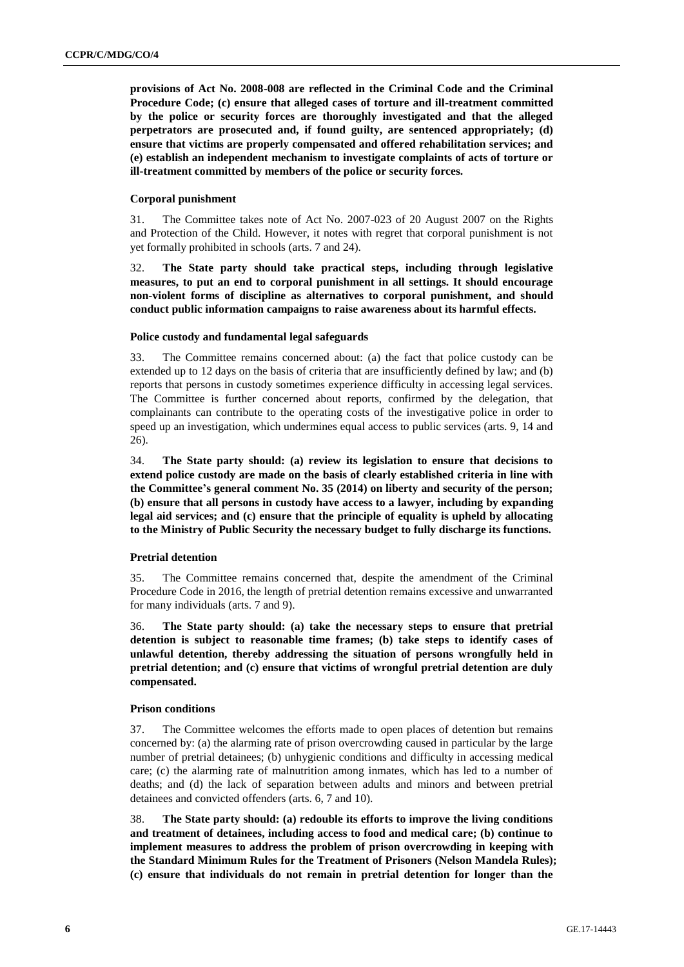**provisions of Act No. 2008-008 are reflected in the Criminal Code and the Criminal Procedure Code; (c) ensure that alleged cases of torture and ill-treatment committed by the police or security forces are thoroughly investigated and that the alleged perpetrators are prosecuted and, if found guilty, are sentenced appropriately; (d) ensure that victims are properly compensated and offered rehabilitation services; and (e) establish an independent mechanism to investigate complaints of acts of torture or ill-treatment committed by members of the police or security forces.**

#### **Corporal punishment**

31. The Committee takes note of Act No. 2007-023 of 20 August 2007 on the Rights and Protection of the Child. However, it notes with regret that corporal punishment is not yet formally prohibited in schools (arts. 7 and 24).

32. **The State party should take practical steps, including through legislative measures, to put an end to corporal punishment in all settings. It should encourage non-violent forms of discipline as alternatives to corporal punishment, and should conduct public information campaigns to raise awareness about its harmful effects.**

#### **Police custody and fundamental legal safeguards**

33. The Committee remains concerned about: (a) the fact that police custody can be extended up to 12 days on the basis of criteria that are insufficiently defined by law; and (b) reports that persons in custody sometimes experience difficulty in accessing legal services. The Committee is further concerned about reports, confirmed by the delegation, that complainants can contribute to the operating costs of the investigative police in order to speed up an investigation, which undermines equal access to public services (arts. 9, 14 and 26).

34. **The State party should: (a) review its legislation to ensure that decisions to extend police custody are made on the basis of clearly established criteria in line with the Committee's general comment No. 35 (2014) on liberty and security of the person; (b) ensure that all persons in custody have access to a lawyer, including by expanding legal aid services; and (c) ensure that the principle of equality is upheld by allocating to the Ministry of Public Security the necessary budget to fully discharge its functions.**

#### **Pretrial detention**

35. The Committee remains concerned that, despite the amendment of the Criminal Procedure Code in 2016, the length of pretrial detention remains excessive and unwarranted for many individuals (arts. 7 and 9).

36. **The State party should: (a) take the necessary steps to ensure that pretrial detention is subject to reasonable time frames; (b) take steps to identify cases of unlawful detention, thereby addressing the situation of persons wrongfully held in pretrial detention; and (c) ensure that victims of wrongful pretrial detention are duly compensated.**

#### **Prison conditions**

37. The Committee welcomes the efforts made to open places of detention but remains concerned by: (a) the alarming rate of prison overcrowding caused in particular by the large number of pretrial detainees; (b) unhygienic conditions and difficulty in accessing medical care; (c) the alarming rate of malnutrition among inmates, which has led to a number of deaths; and (d) the lack of separation between adults and minors and between pretrial detainees and convicted offenders (arts. 6, 7 and 10).

38. **The State party should: (a) redouble its efforts to improve the living conditions and treatment of detainees, including access to food and medical care; (b) continue to implement measures to address the problem of prison overcrowding in keeping with the Standard Minimum Rules for the Treatment of Prisoners (Nelson Mandela Rules); (c) ensure that individuals do not remain in pretrial detention for longer than the**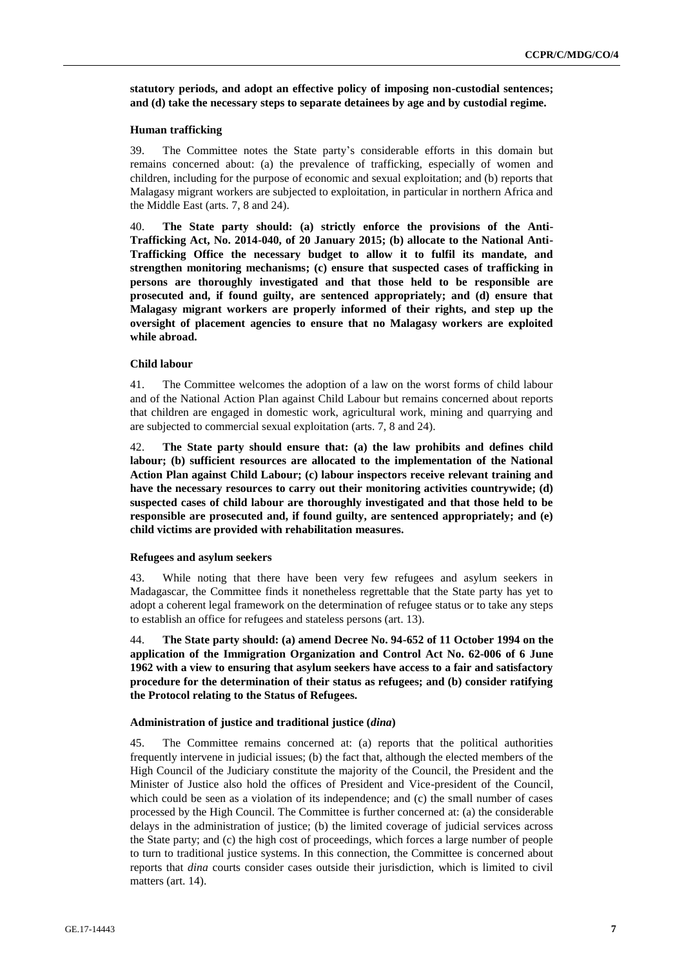**statutory periods, and adopt an effective policy of imposing non-custodial sentences; and (d) take the necessary steps to separate detainees by age and by custodial regime.**

#### **Human trafficking**

39. The Committee notes the State party's considerable efforts in this domain but remains concerned about: (a) the prevalence of trafficking, especially of women and children, including for the purpose of economic and sexual exploitation; and (b) reports that Malagasy migrant workers are subjected to exploitation, in particular in northern Africa and the Middle East (arts. 7, 8 and 24).

40. **The State party should: (a) strictly enforce the provisions of the Anti-Trafficking Act, No. 2014-040, of 20 January 2015; (b) allocate to the National Anti-Trafficking Office the necessary budget to allow it to fulfil its mandate, and strengthen monitoring mechanisms; (c) ensure that suspected cases of trafficking in persons are thoroughly investigated and that those held to be responsible are prosecuted and, if found guilty, are sentenced appropriately; and (d) ensure that Malagasy migrant workers are properly informed of their rights, and step up the oversight of placement agencies to ensure that no Malagasy workers are exploited while abroad.** 

#### **Child labour**

41. The Committee welcomes the adoption of a law on the worst forms of child labour and of the National Action Plan against Child Labour but remains concerned about reports that children are engaged in domestic work, agricultural work, mining and quarrying and are subjected to commercial sexual exploitation (arts. 7, 8 and 24).

42. **The State party should ensure that: (a) the law prohibits and defines child labour; (b) sufficient resources are allocated to the implementation of the National Action Plan against Child Labour; (c) labour inspectors receive relevant training and have the necessary resources to carry out their monitoring activities countrywide; (d) suspected cases of child labour are thoroughly investigated and that those held to be responsible are prosecuted and, if found guilty, are sentenced appropriately; and (e) child victims are provided with rehabilitation measures.**

#### **Refugees and asylum seekers**

43. While noting that there have been very few refugees and asylum seekers in Madagascar, the Committee finds it nonetheless regrettable that the State party has yet to adopt a coherent legal framework on the determination of refugee status or to take any steps to establish an office for refugees and stateless persons (art. 13).

44. **The State party should: (a) amend Decree No. 94-652 of 11 October 1994 on the application of the Immigration Organization and Control Act No. 62-006 of 6 June 1962 with a view to ensuring that asylum seekers have access to a fair and satisfactory procedure for the determination of their status as refugees; and (b) consider ratifying the Protocol relating to the Status of Refugees.**

#### **Administration of justice and traditional justice (***dina***)**

45. The Committee remains concerned at: (a) reports that the political authorities frequently intervene in judicial issues; (b) the fact that, although the elected members of the High Council of the Judiciary constitute the majority of the Council, the President and the Minister of Justice also hold the offices of President and Vice-president of the Council, which could be seen as a violation of its independence; and (c) the small number of cases processed by the High Council. The Committee is further concerned at: (a) the considerable delays in the administration of justice; (b) the limited coverage of judicial services across the State party; and (c) the high cost of proceedings, which forces a large number of people to turn to traditional justice systems. In this connection, the Committee is concerned about reports that *dina* courts consider cases outside their jurisdiction, which is limited to civil matters (art. 14).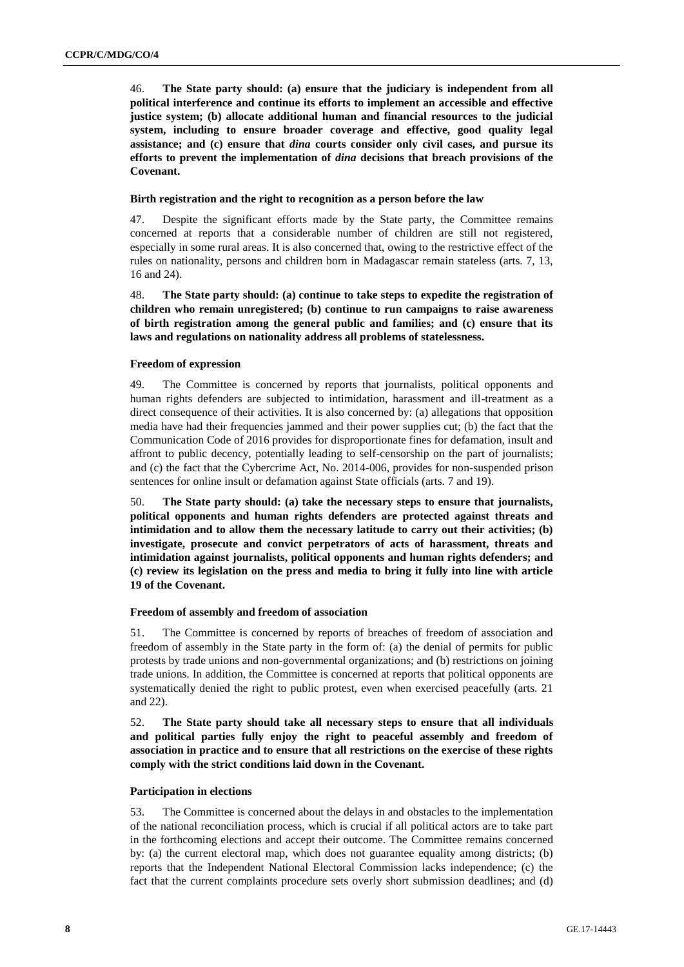46. **The State party should: (a) ensure that the judiciary is independent from all political interference and continue its efforts to implement an accessible and effective justice system; (b) allocate additional human and financial resources to the judicial system, including to ensure broader coverage and effective, good quality legal assistance; and (c) ensure that** *dina* **courts consider only civil cases, and pursue its efforts to prevent the implementation of** *dina* **decisions that breach provisions of the Covenant.**

#### **Birth registration and the right to recognition as a person before the law**

47. Despite the significant efforts made by the State party, the Committee remains concerned at reports that a considerable number of children are still not registered, especially in some rural areas. It is also concerned that, owing to the restrictive effect of the rules on nationality, persons and children born in Madagascar remain stateless (arts. 7, 13, 16 and 24).

48. **The State party should: (a) continue to take steps to expedite the registration of children who remain unregistered; (b) continue to run campaigns to raise awareness of birth registration among the general public and families; and (c) ensure that its laws and regulations on nationality address all problems of statelessness.**

#### **Freedom of expression**

49. The Committee is concerned by reports that journalists, political opponents and human rights defenders are subjected to intimidation, harassment and ill-treatment as a direct consequence of their activities. It is also concerned by: (a) allegations that opposition media have had their frequencies jammed and their power supplies cut; (b) the fact that the Communication Code of 2016 provides for disproportionate fines for defamation, insult and affront to public decency, potentially leading to self-censorship on the part of journalists; and (c) the fact that the Cybercrime Act, No. 2014-006, provides for non-suspended prison sentences for online insult or defamation against State officials (arts. 7 and 19).

50. **The State party should: (a) take the necessary steps to ensure that journalists, political opponents and human rights defenders are protected against threats and intimidation and to allow them the necessary latitude to carry out their activities; (b) investigate, prosecute and convict perpetrators of acts of harassment, threats and intimidation against journalists, political opponents and human rights defenders; and (c) review its legislation on the press and media to bring it fully into line with article 19 of the Covenant.**

#### **Freedom of assembly and freedom of association**

51. The Committee is concerned by reports of breaches of freedom of association and freedom of assembly in the State party in the form of: (a) the denial of permits for public protests by trade unions and non-governmental organizations; and (b) restrictions on joining trade unions. In addition, the Committee is concerned at reports that political opponents are systematically denied the right to public protest, even when exercised peacefully (arts. 21 and 22).

52. **The State party should take all necessary steps to ensure that all individuals and political parties fully enjoy the right to peaceful assembly and freedom of association in practice and to ensure that all restrictions on the exercise of these rights comply with the strict conditions laid down in the Covenant.**

#### **Participation in elections**

53. The Committee is concerned about the delays in and obstacles to the implementation of the national reconciliation process, which is crucial if all political actors are to take part in the forthcoming elections and accept their outcome. The Committee remains concerned by: (a) the current electoral map, which does not guarantee equality among districts; (b) reports that the Independent National Electoral Commission lacks independence; (c) the fact that the current complaints procedure sets overly short submission deadlines; and (d)